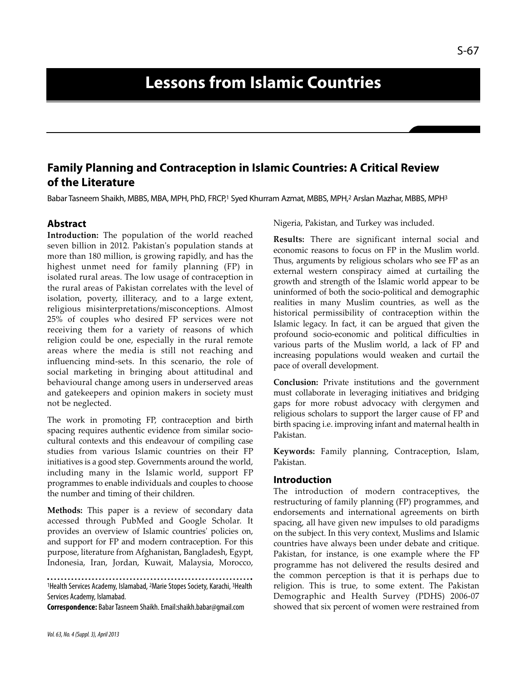# **Lessons from Islamic Countries**

# **Family Planning and Contraception in Islamic Countries: A Critical Review of the Literature**

Babar Tasneem Shaikh, MBBS, MBA, MPH, PhD, FRCP,<sup>1</sup> Syed Khurram Azmat, MBBS, MPH,<sup>2</sup> Arslan Mazhar, MBBS, MPH<sup>3</sup>

### **Abstract**

**Introduction:** The population of the world reached seven billion in 2012. Pakistan's population stands at more than 180 million, is growing rapidly, and has the highest unmet need for family planning (FP) in isolated rural areas. The low usage of contraception in the rural areas of Pakistan correlates with the level of isolation, poverty, illiteracy, and to a large extent, religious misinterpretations/misconceptions. Almost 25% of couples who desired FP services were not receiving them for a variety of reasons of which religion could be one, especially in the rural remote areas where the media is still not reaching and influencing mind-sets. In this scenario, the role of social marketing in bringing about attitudinal and behavioural change among users in underserved areas and gatekeepers and opinion makers in society must not be neglected.

The work in promoting FP, contraception and birth spacing requires authentic evidence from similar sociocultural contexts and this endeavour of compiling case studies from various Islamic countries on their FP initiatives is a good step. Governments around the world, including many in the Islamic world, support FP programmes to enable individuals and couples to choose the number and timing of their children.

**Methods:** This paper is a review of secondary data accessed through PubMed and Google Scholar. It provides an overview of Islamic countries' policies on, and support for FP and modern contraception. For this purpose, literature from Afghanistan, Bangladesh, Egypt, Indonesia, Iran, Jordan, Kuwait, Malaysia, Morocco,

<sup>1</sup>Health Services Academy, Islamabad, 2Marie Stopes Society, Karachi, 3Health Services Academy, Islamabad.

**Correspondence:** Babar Tasneem Shaikh. Email:shaikh.babar@gmail.com

Nigeria, Pakistan, and Turkey was included.

**Results:** There are significant internal social and economic reasons to focus on FP in the Muslim world. Thus, arguments by religious scholars who see FP as an external western conspiracy aimed at curtailing the growth and strength of the Islamic world appear to be uninformed of both the socio-political and demographic realities in many Muslim countries, as well as the historical permissibility of contraception within the Islamic legacy. In fact, it can be argued that given the profound socio-economic and political difficulties in various parts of the Muslim world, a lack of FP and increasing populations would weaken and curtail the pace of overall development.

**Conclusion:** Private institutions and the government must collaborate in leveraging initiatives and bridging gaps for more robust advocacy with clergymen and religious scholars to support the larger cause of FP and birth spacing i.e. improving infant and maternal health in Pakistan.

**Keywords:** Family planning, Contraception, Islam, Pakistan.

#### **Introduction**

The introduction of modern contraceptives, the restructuring of family planning (FP) programmes, and endorsements and international agreements on birth spacing, all have given new impulses to old paradigms on the subject. In this very context, Muslims and Islamic countries have always been under debate and critique. Pakistan, for instance, is one example where the FP programme has not delivered the results desired and the common perception is that it is perhaps due to religion. This is true, to some extent. The Pakistan Demographic and Health Survey (PDHS) 2006-07 showed that six percent of women were restrained from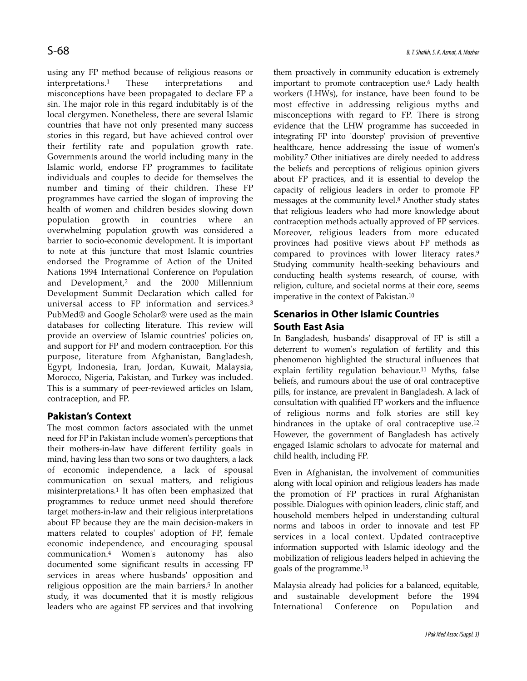using any FP method because of religious reasons or interpretations.<sup>1</sup> These interpretations and misconceptions have been propagated to declare FP a sin. The major role in this regard indubitably is of the local clergymen. Nonetheless, there are several Islamic countries that have not only presented many success stories in this regard, but have achieved control over their fertility rate and population growth rate. Governments around the world including many in the Islamic world, endorse FP programmes to facilitate individuals and couples to decide for themselves the number and timing of their children. These FP programmes have carried the slogan of improving the health of women and children besides slowing down population growth in countries where an overwhelming population growth was considered a barrier to socio-economic development. It is important to note at this juncture that most Islamic countries endorsed the Programme of Action of the United Nations 1994 International Conference on Population and Development,<sup>2</sup> and the 2000 Millennium Development Summit Declaration which called for universal access to FP information and services.<sup>3</sup> PubMed® and Google Scholar® were used as the main databases for collecting literature. This review will provide an overview of Islamic countries' policies on, and support for FP and modern contraception. For this purpose, literature from Afghanistan, Bangladesh, Egypt, Indonesia, Iran, Jordan, Kuwait, Malaysia, Morocco, Nigeria, Pakistan, and Turkey was included. This is a summary of peer-reviewed articles on Islam, contraception, and FP.

# **Pakistan's Context**

The most common factors associated with the unmet need for FP in Pakistan include women's perceptions that their mothers-in-law have different fertility goals in mind, having less than two sons or two daughters, a lack of economic independence, a lack of spousal communication on sexual matters, and religious misinterpretations.<sup>1</sup> It has often been emphasized that programmes to reduce unmet need should therefore target mothers-in-law and their religious interpretations about FP because they are the main decision-makers in matters related to couples' adoption of FP, female economic independence, and encouraging spousal communication.<sup>4</sup> Women's autonomy has also documented some significant results in accessing FP services in areas where husbands' opposition and religious opposition are the main barriers.<sup>5</sup> In another study, it was documented that it is mostly religious leaders who are against FP services and that involving

them proactively in community education is extremely important to promote contraception use.<sup>6</sup> Lady health workers (LHWs), for instance, have been found to be most effective in addressing religious myths and misconceptions with regard to FP. There is strong evidence that the LHW programme has succeeded in integrating FP into 'doorstep' provision of preventive healthcare, hence addressing the issue of women's mobility.<sup>7</sup> Other initiatives are direly needed to address the beliefs and perceptions of religious opinion givers about FP practices, and it is essential to develop the capacity of religious leaders in order to promote FP messages at the community level.<sup>8</sup> Another study states that religious leaders who had more knowledge about contraception methods actually approved of FP services. Moreover, religious leaders from more educated provinces had positive views about FP methods as compared to provinces with lower literacy rates.<sup>9</sup> Studying community health-seeking behaviours and conducting health systems research, of course, with religion, culture, and societal norms at their core, seems imperative in the context of Pakistan.<sup>10</sup>

# **Scenarios in Other Islamic Countries South East Asia**

In Bangladesh, husbands' disapproval of FP is still a deterrent to women's regulation of fertility and this phenomenon highlighted the structural influences that explain fertility regulation behaviour.<sup>11</sup> Myths, false beliefs, and rumours about the use of oral contraceptive pills, for instance, are prevalent in Bangladesh. A lack of consultation with qualified FP workers and the influence of religious norms and folk stories are still key hindrances in the uptake of oral contraceptive use.<sup>12</sup> However, the government of Bangladesh has actively engaged Islamic scholars to advocate for maternal and child health, including FP.

Even in Afghanistan, the involvement of communities along with local opinion and religious leaders has made the promotion of FP practices in rural Afghanistan possible. Dialogues with opinion leaders, clinic staff, and household members helped in understanding cultural norms and taboos in order to innovate and test FP services in a local context. Updated contraceptive information supported with Islamic ideology and the mobilization of religious leaders helped in achieving the goals of the programme.<sup>13</sup>

Malaysia already had policies for a balanced, equitable, and sustainable development before the 1994 International Conference on Population and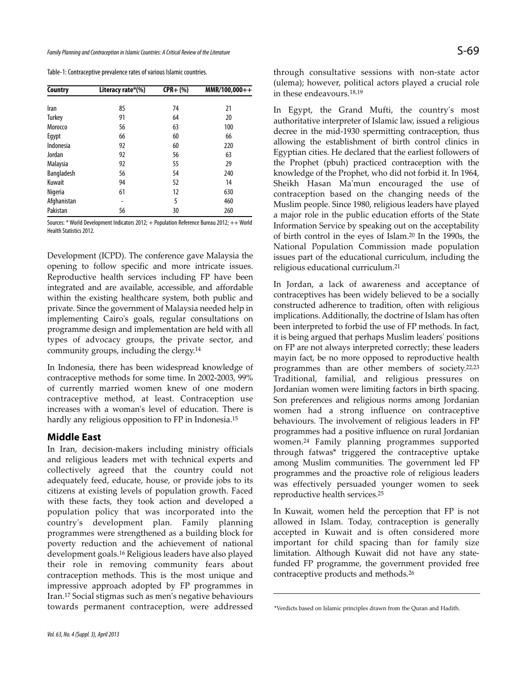Table-1: Contraceptive prevalence rates of various Islamic countries.

| Country       | Literacy rate*(%) | $CPR + (%)$ | $MMR/100,000++$ |
|---------------|-------------------|-------------|-----------------|
| Iran          | 85                | 74          | 21              |
| <b>Turkey</b> | 91                | 64          | 20              |
| Morocco       | 56                | 63          | 100             |
| Egypt         | 66                | 60          | 66              |
| Indonesia     | 92                | 60          | 220             |
| Jordan        | 92                | 56          | 63              |
| Malaysia      | 92                | 55          | 29              |
| Bangladesh    | 56                | 54          | 240             |
| Kuwait        | 94                | 52          | 14              |
| Nigeria       | 61                | 12          | 630             |
| Afghanistan   |                   | 5           | 460             |
| Pakistan      | 56                | 30          | 260             |

Sources: \* World Development Indicators 2012; + Population Reference Bureau 2012; ++ World Health Statistics 2012.

Development (ICPD). The conference gave Malaysia the opening to follow specific and more intricate issues. Reproductive health services including FP have been integrated and are available, accessible, and affordable within the existing healthcare system, both public and private. Since the government of Malaysia needed help in implementing Cairo's goals, regular consultations on programme design and implementation are held with all types of advocacy groups, the private sector, and community groups, including the clergy.<sup>14</sup>

In Indonesia, there has been widespread knowledge of contraceptive methods for some time. In 2002-2003, 99% of currently married women knew of one modern contraceptive method, at least. Contraception use increases with a woman's level of education. There is hardly any religious opposition to FP in Indonesia.<sup>15</sup>

#### **Middle East**

In Iran, decision-makers including ministry officials and religious leaders met with technical experts and collectively agreed that the country could not adequately feed, educate, house, or provide jobs to its citizens at existing levels of population growth. Faced with these facts, they took action and developed a population policy that was incorporated into the country's development plan. Family planning programmes were strengthened as a building block for poverty reduction and the achievement of national development goals.<sup>16</sup> Religious leaders have also played their role in removing community fears about contraception methods. This is the most unique and impressive approach adopted by FP programmes in Iran.<sup>17</sup> Social stigmas such as men's negative behaviours towards permanent contraception, were addressed through consultative sessions with non-state actor (ulema); however, political actors played a crucial role in these endeavours.18,19

In Egypt, the Grand Mufti, the country's most authoritative interpreter of Islamic law, issued a religious decree in the mid-1930 spermitting contraception, thus allowing the establishment of birth control clinics in Egyptian cities. He declared that the earliest followers of the Prophet (pbuh) practiced contraception with the knowledge of the Prophet, who did not forbid it. In 1964, Sheikh Hasan Ma'mun encouraged the use of contraception based on the changing needs of the Muslim people. Since 1980, religious leaders have played a major role in the public education efforts of the State Information Service by speaking out on the acceptability of birth control in the eyes of Islam.<sup>20</sup> In the 1990s, the National Population Commission made population issues part of the educational curriculum, including the religious educational curriculum.<sup>21</sup>

In Jordan, a lack of awareness and acceptance of contraceptives has been widely believed to be a socially constructed adherence to tradition, often with religious implications. Additionally, the doctrine of Islam has often been interpreted to forbid the use of FP methods. In fact, it is being argued that perhaps Muslim leaders' positions on FP are not always interpreted correctly; these leaders mayin fact, be no more opposed to reproductive health programmes than are other members of society.22,23 Traditional, familial, and religious pressures on Jordanian women were limiting factors in birth spacing. Son preferences and religious norms among Jordanian women had a strong influence on contraceptive behaviours. The involvement of religious leaders in FP programmes had a positive influence on rural Jordanian women.<sup>24</sup> Family planning programmes supported through fatwas\* triggered the contraceptive uptake among Muslim communities. The government led FP programmes and the proactive role of religious leaders was effectively persuaded younger women to seek reproductive health services.<sup>25</sup>

In Kuwait, women held the perception that FP is not allowed in Islam. Today, contraception is generally accepted in Kuwait and is often considered more important for child spacing than for family size limitation. Although Kuwait did not have any statefunded FP programme, the government provided free contraceptive products and methods.<sup>26</sup>

<sup>\*</sup>Verdicts based on Islamic principles drawn from the Quran and Hadith.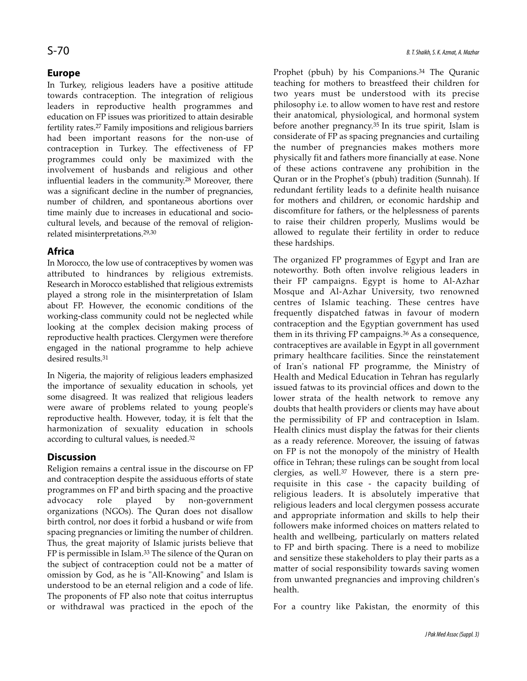#### **Europe**

In Turkey, religious leaders have a positive attitude towards contraception. The integration of religious leaders in reproductive health programmes and education on FP issues was prioritized to attain desirable fertility rates.<sup>27</sup> Family impositions and religious barriers had been important reasons for the non-use of contraception in Turkey. The effectiveness of FP programmes could only be maximized with the involvement of husbands and religious and other influential leaders in the community.<sup>28</sup> Moreover, there was a significant decline in the number of pregnancies, number of children, and spontaneous abortions over time mainly due to increases in educational and sociocultural levels, and because of the removal of religionrelated misinterpretations.29,30

### **Africa**

In Morocco, the low use of contraceptives by women was attributed to hindrances by religious extremists. Research in Morocco established that religious extremists played a strong role in the misinterpretation of Islam about FP. However, the economic conditions of the working-class community could not be neglected while looking at the complex decision making process of reproductive health practices. Clergymen were therefore engaged in the national programme to help achieve desired results.<sup>31</sup>

In Nigeria, the majority of religious leaders emphasized the importance of sexuality education in schools, yet some disagreed. It was realized that religious leaders were aware of problems related to young people's reproductive health. However, today, it is felt that the harmonization of sexuality education in schools according to cultural values, is needed.<sup>32</sup>

#### **Discussion**

Religion remains a central issue in the discourse on FP and contraception despite the assiduous efforts of state programmes on FP and birth spacing and the proactive advocacy role played by non-government organizations (NGOs). The Quran does not disallow birth control, nor does it forbid a husband or wife from spacing pregnancies or limiting the number of children. Thus, the great majority of Islamic jurists believe that FP is permissible in Islam.<sup>33</sup> The silence of the Quran on the subject of contraception could not be a matter of omission by God, as he is "All-Knowing" and Islam is understood to be an eternal religion and a code of life. The proponents of FP also note that coitus interruptus or withdrawal was practiced in the epoch of the

Prophet (pbuh) by his Companions.<sup>34</sup> The Quranic teaching for mothers to breastfeed their children for two years must be understood with its precise philosophy i.e. to allow women to have rest and restore their anatomical, physiological, and hormonal system before another pregnancy.35 In its true spirit, Islam is considerate of FP as spacing pregnancies and curtailing the number of pregnancies makes mothers more physically fit and fathers more financially at ease. None of these actions contravene any prohibition in the Quran or in the Prophet's (pbuh) tradition (Sunnah). If redundant fertility leads to a definite health nuisance for mothers and children, or economic hardship and discomfiture for fathers, or the helplessness of parents to raise their children properly, Muslims would be allowed to regulate their fertility in order to reduce these hardships.

The organized FP programmes of Egypt and Iran are noteworthy. Both often involve religious leaders in their FP campaigns. Egypt is home to Al-Azhar Mosque and Al-Azhar University, two renowned centres of Islamic teaching. These centres have frequently dispatched fatwas in favour of modern contraception and the Egyptian government has used them in its thriving FP campaigns.<sup>36</sup> As a consequence, contraceptives are available in Egypt in all government primary healthcare facilities. Since the reinstatement of Iran's national FP programme, the Ministry of Health and Medical Education in Tehran has regularly issued fatwas to its provincial offices and down to the lower strata of the health network to remove any doubts that health providers or clients may have about the permissibility of FP and contraception in Islam. Health clinics must display the fatwas for their clients as a ready reference. Moreover, the issuing of fatwas on FP is not the monopoly of the ministry of Health office in Tehran; these rulings can be sought from local clergies, as well.<sup>37</sup> However, there is a stern prerequisite in this case - the capacity building of religious leaders. It is absolutely imperative that religious leaders and local clergymen possess accurate and appropriate information and skills to help their followers make informed choices on matters related to health and wellbeing, particularly on matters related to FP and birth spacing. There is a need to mobilize and sensitize these stakeholders to play their parts as a matter of social responsibility towards saving women from unwanted pregnancies and improving children's health.

For a country like Pakistan, the enormity of this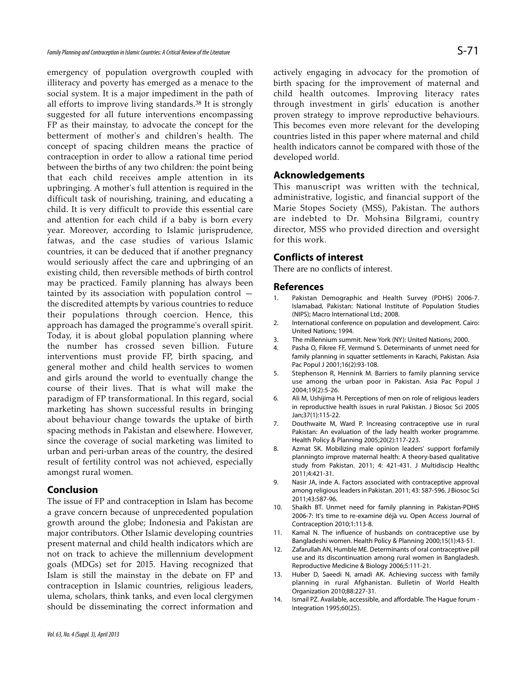emergency of population overgrowth coupled with illiteracy and poverty has emerged as a menace to the social system. It is a major impediment in the path of all efforts to improve living standards.<sup>38</sup> It is strongly suggested for all future interventions encompassing FP as their mainstay, to advocate the concept for the betterment of mother's and children's health. The concept of spacing children means the practice of contraception in order to allow a rational time period between the births of any two children: the point being that each child receives ample attention in its upbringing. A mother's full attention is required in the difficult task of nourishing, training, and educating a child. It is very difficult to provide this essential care and attention for each child if a baby is born every year. Moreover, according to Islamic jurisprudence, fatwas, and the case studies of various Islamic countries, it can be deduced that if another pregnancy would seriously affect the care and upbringing of an existing child, then reversible methods of birth control may be practiced. Family planning has always been tainted by its association with population control the discredited attempts by various countries to reduce their populations through coercion. Hence, this approach has damaged the programme's overall spirit. Today, it is about global population planning where the number has crossed seven billion. Future interventions must provide FP, birth spacing, and general mother and child health services to women and girls around the world to eventually change the course of their lives. That is what will make the paradigm of FP transformational. In this regard, social marketing has shown successful results in bringing about behaviour change towards the uptake of birth spacing methods in Pakistan and elsewhere. However, since the coverage of social marketing was limited to urban and peri-urban areas of the country, the desired result of fertility control was not achieved, especially amongst rural women.

#### **Conclusion**

The issue of FP and contraception in Islam has become a grave concern because of unprecedented population growth around the globe; Indonesia and Pakistan are major contributors. Other Islamic developing countries present maternal and child health indicators which are not on track to achieve the millennium development goals (MDGs) set for 2015. Having recognized that Islam is still the mainstay in the debate on FP and contraception in Islamic countries, religious leaders, ulema, scholars, think tanks, and even local clergymen should be disseminating the correct information and

actively engaging in advocacy for the promotion of birth spacing for the improvement of maternal and child health outcomes. Improving literacy rates through investment in girls' education is another proven strategy to improve reproductive behaviours. This becomes even more relevant for the developing countries listed in this paper where maternal and child health indicators cannot be compared with those of the developed world.

#### **Acknowledgements**

This manuscript was written with the technical, administrative, logistic, and financial support of the Marie Stopes Society (MSS), Pakistan. The authors are indebted to Dr. Mohsina Bilgrami, country director, MSS who provided direction and oversight for this work.

#### **Conflicts of interest**

There are no conflicts of interest.

#### **References**

- Pakistan Demographic and Health Survey (PDHS) 2006-7. Islamabad, Pakistan: National Institute of Population Studies (NIPS); Macro International Ltd.; 2008.
- 2. International conference on population and development. Cairo: United Nations; 1994.
- 3. The millennium summit. New York (NY): United Nations; 2000.
- 4. Pasha O, Fikree FF, Vermund S. Determinants of unmet need for family planning in squatter settlements in Karachi, Pakistan. Asia Pac Popul J 2001;16(2):93-108.
- 5. Stephenson R, Hennink M. Barriers to family planning service use among the urban poor in Pakistan. Asia Pac Popul J 2004;19(2):5-26.
- 6. Ali M, Ushijima H. Perceptions of men on role of religious leaders in reproductive health issues in rural Pakistan. J Biosoc Sci 2005 Jan;37(1):115-22.
- 7. Douthwaite M, Ward P. Increasing contraceptive use in rural Pakistan: An evaluation of the lady health worker programme. Health Policy & Planning 2005;20(2):117-223.
- 8. Azmat SK. Mobilizing male opinion leaders' support forfamily planningto improve maternal health: A theory-based qualitative study from Pakistan. 2011; 4: 421-431. J Multidiscip Healthc 2011;4:421-31.
- 9. Nasir JA, inde A. Factors associated with contraceptive approval among religious leaders in Pakistan. 2011; 43: 587-596. J Biosoc Sci 2011;43:587-96.
- 10. Shaikh BT. Unmet need for family planning in Pakistan-PDHS 2006-7: It's time to re-examine déjà vu. Open Access Journal of Contraception 2010;1:113-8.
- 11. Kamal N. The influence of husbands on contraceptive use by Bangladeshi women. Health Policy & Planning 2000;15(1):43-51.
- 12. Zafarullah AN, Humble ME. Determinants of oral contraceptive pill use and its discontinuation among rural women in Bangladesh. Reproductive Medicine & Biology 2006;5:111-21.
- 13. Huber D, Saeedi N, amadi AK. Achieving success with family planning in rural Afghanistan. Bulletin of World Health Organization 2010;88:227-31.
- 14. Ismail PZ. Available, accessible, and affordable. The Hague forum Integration 1995;60(25).